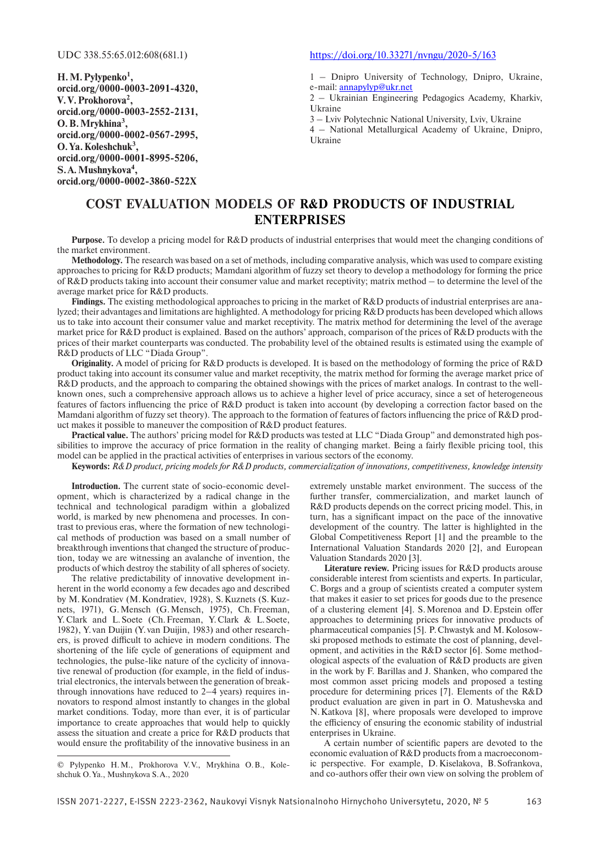**h. M. Pylypenko<sup>1</sup> , orcid.org/0000-0003-2091-4320, V. V. Prokhorova<sup>2</sup> , orcid.org/0000-0003-2552-2131, o. b. Mrykhina<sup>3</sup> , orcid.org/0000-0002-0567-2995, o. ya. Koleshchuk<sup>3</sup> , orcid.org/0000-0001-8995-5206, S. A. Mushnykova<sup>4</sup> , orcid.org/0000-0002-3860-522x**

### UDC 338.55:65.012:608(681.1) https://doi.org/10.33271/nvngu/2020-5/163

1 – Dnipro University of Technology, Dnipro, Ukraine, e-mail: annapylyp@ukr.net

2 – Ukrainian Engineering Pedagogics Academy, Kharkiv, Ukraine

3 – Lviv Polytechnic National University, Lviv, Ukraine

4 – National Metallurgical Academy of Ukraine, Dnipro, Ukraine

# **coSt eVAluAtIoN MoDelS of r&D ProDuctS of INDuStrIAl eNterPrISeS**

**Purpose.** To develop a pricing model for R&D products of industrial enterprises that would meet the changing conditions of the market environment.

**Methodology.** The research was based on a set of methods, including comparative analysis, which was used to compare existing approaches to pricing for R&D products; Mamdani algorithm of fuzzy set theory to develop a methodology for forming the price of R&D products taking into account their consumer value and market receptivity; matrix method – to determine the level of the average market price for R&D products.

**findings.** The existing methodological approaches to pricing in the market of R&D products of industrial enterprises are analyzed; their advantages and limitations are highlighted. A methodology for pricing R&D products has been developed which allows us to take into account their consumer value and market receptivity. The matrix method for determining the level of the average market price for R&D product is explained. Based on the authors' approach, comparison of the prices of R&D products with the prices of their market counterparts was conducted. The probability level of the obtained results is estimated using the example of R&D products of LLC "Diada Group".

**originality.** A model of pricing for R&D products is developed. It is based on the methodology of forming the price of R&D product taking into account its consumer value and market receptivity, the matrix method for forming the average market price of R&D products, and the approach to comparing the obtained showings with the prices of market analogs. In contrast to the wellknown ones, such a comprehensive approach allows us to achieve a higher level of price accuracy, since a set of heterogeneous features of factors influencing the price of R&D product is taken into account (by developing a correction factor based on the Mamdani algorithm of fuzzy set theory). The approach to the formation of features of factors influencing the price of R&D product makes it possible to maneuver the composition of R&D product features.

**Practical value.** The authors' pricing model for R&D products was tested at LLC "Diada Group" and demonstrated high possibilities to improve the accuracy of price formation in the reality of changing market. Being a fairly flexible pricing tool, this model can be applied in the practical activities of enterprises in various sectors of the economy.

**Keywords:** *R&D product, pricing models for R&D products, commercialization of innovations, competitiveness, knowledge intensity*

**Introduction.** The current state of socio-economic development, which is characterized by a radical change in the technical and technological paradigm within a globalized world, is marked by new phenomena and processes. In contrast to previous eras, where the formation of new technological methods of production was based on a small number of breakthrough inventions that changed the structure of production, today we are witnessing an avalanche of invention, the products of which destroy the stability of all spheres of society.

The relative predictability of innovative development inherent in the world economy a few decades ago and described by M. Kondratiev (M. Kondratiev, 1928), S. Kuznets (S. Kuznets, 1971), G. Mensch (G. Mensch, 1975), Ch. Freeman, Y. Clark and L. Soete (Ch. Freeman, Y. Clark & L. Soete, 1982), Y. van Duijin (Y. van Duijin, 1983) and other researchers, is proved difficult to achieve in modern conditions. The shortening of the life cycle of generations of equipment and technologies, the pulse-like nature of the cyclicity of innovative renewal of production (for example, in the field of industrial electronics, the intervals between the generation of breakthrough innovations have reduced to 2–4 years) requires innovators to respond almost instantly to changes in the global market conditions. Today, more than ever, it is of particular importance to create approaches that would help to quickly assess the situation and create a price for R&D products that would ensure the profitability of the innovative business in an

**literature review.** Pricing issues for R&D products arouse considerable interest from scientists and experts. In particular, C. Borgs and a group of scientists created a computer system that makes it easier to set prices for goods due to the presence of a clustering element [4]. S. Morenoa and D. Epstein offer approaches to determining prices for innovative products of pharmaceutical companies [5]. P. Chwastyk and M. Kolosowski proposed methods to estimate the cost of planning, development, and activities in the R&D sector [6]. Some methodological aspects of the evaluation of R&D products are given in the work by F. Barillas and J. Shanken, who compared the most common asset pricing models and proposed a testing procedure for determining prices [7]. Elements of the R&D product evaluation are given in part in O. Matushevska and N. Katkova [8], where proposals were developed to improve the efficiency of ensuring the economic stability of industrial enterprises in Ukraine.

A certain number of scientific papers are devoted to the economic evaluation of R&D products from a macroeconomic perspective. For example, D. Kiselakova, B. Sofrankova, and co-authors offer their own view on solving the problem of

extremely unstable market environment. The success of the further transfer, commercialization, and market launch of R&D products depends on the correct pricing model. This, in turn, has a significant impact on the pace of the innovative development of the country. The latter is highlighted in the Global Competitiveness Report [1] and the preamble to the International Valuation Standards 2020 [2], and European Valuation Standards 2020 [3].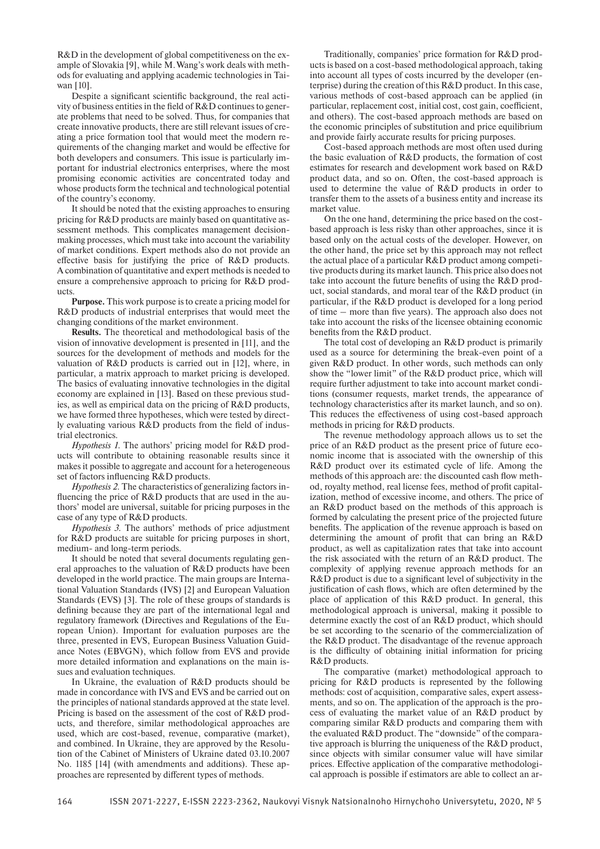R&D in the development of global competitiveness on the example of Slovakia [9], while M. Wang's work deals with methods for evaluating and applying academic technologies in Taiwan [10].

Despite a significant scientific background, the real activity of business entities in the field of R&D continues to generate problems that need to be solved. Thus, for companies that create innovative products, there are still relevant issues of creating a price formation tool that would meet the modern requirements of the changing market and would be effective for both developers and consumers. This issue is particularly important for industrial electronics enterprises, where the most promising economic activities are concentrated today and whose products form the technical and technological potential of the country's economy.

It should be noted that the existing approaches to ensuring pricing for R&D products are mainly based on quantitative assessment methods. This complicates management decisionmaking processes, which must take into account the variability of market conditions. Expert methods also do not provide an effective basis for justifying the price of R&D products. A combination of quantitative and expert methods is needed to ensure a comprehensive approach to pricing for R&D products.

**Purpose.** This work purpose is to create a pricing model for R&D products of industrial enterprises that would meet the changing conditions of the market environment.

**results.** The theoretical and methodological basis of the vision of innovative development is presented in [11], and the sources for the development of methods and models for the valuation of R&D products is carried out in [12], where, in particular, a matrix approach to market pricing is developed. The basics of evaluating innovative technologies in the digital economy are explained in [13]. Based on these previous studies, as well as empirical data on the pricing of R&D products, we have formed three hypotheses, which were tested by directly evaluating various R&D products from the field of industrial electronics.

*Hypothesis 1.* The authors' pricing model for R&D products will contribute to obtaining reasonable results since it makes it possible to aggregate and account for a heterogeneous set of factors influencing R&D products.

*Hypothesis 2*. The characteristics of generalizing factors influencing the price of R&D products that are used in the authors' model are universal, suitable for pricing purposes in the case of any type of R&D products.

*Hypothesis 3.* The authors' methods of price adjustment for R&D products are suitable for pricing purposes in short, medium- and long-term periods.

It should be noted that several documents regulating general approaches to the valuation of R&D products have been developed in the world practice. The main groups are International Valuation Standards (IVS) [2] and European Valuation Standards (EVS) [3]. The role of these groups of standards is defining because they are part of the international legal and regulatory framework (Directives and Regulations of the European Union). Important for evaluation purposes are the three, presented in EVS, European Business Valuation Guidance Notes (EBVGN), which follow from EVS and provide more detailed information and explanations on the main issues and evaluation techniques.

In Ukraine, the evaluation of R&D products should be made in concordance with IVS and EVS and be carried out on the principles of national standards approved at the state level. Pricing is based on the assessment of the cost of R&D products, and therefore, similar methodological approaches are used, which are cost-based, revenue, comparative (market), and combined. In Ukraine, they are approved by the Resolution of the Cabinet of Ministers of Ukraine dated 03.10.2007 No. 1185 [14] (with amendments and additions). These approaches are represented by different types of methods.

Traditionally, companies' price formation for R&D products is based on a cost-based methodological approach, taking into account all types of costs incurred by the developer (enterprise) during the creation of this R&D product. In this case, various methods of cost-based approach can be applied (in particular, replacement cost, initial cost, cost gain, coefficient, and others). The cost-based approach methods are based on the economic principles of substitution and price equilibrium and provide fairly accurate results for pricing purposes.

Cost-based approach methods are most often used during the basic evaluation of R&D products, the formation of cost estimates for research and development work based on R&D product data, and so on. Often, the cost-based approach is used to determine the value of R&D products in order to transfer them to the assets of a business entity and increase its market value.

On the one hand, determining the price based on the costbased approach is less risky than other approaches, since it is based only on the actual costs of the developer. However, on the other hand, the price set by this approach may not reflect the actual place of a particular R&D product among competitive products during its market launch. This price also does not take into account the future benefits of using the R&D product, social standards, and moral tear of the R&D product (in particular, if the R&D product is developed for a long period of time – more than five years). The approach also does not take into account the risks of the licensee obtaining economic benefits from the R&D product.

The total cost of developing an R&D product is primarily used as a source for determining the break-even point of a given R&D product. In other words, such methods can only show the "lower limit" of the R&D product price, which will require further adjustment to take into account market conditions (consumer requests, market trends, the appearance of technology characteristics after its market launch, and so on). This reduces the effectiveness of using cost-based approach methods in pricing for R&D products.

The revenue methodology approach allows us to set the price of an R&D product as the present price of future economic income that is associated with the ownership of this R&D product over its estimated cycle of life. Among the methods of this approach are: the discounted cash flow method, royalty method, real license fees, method of profit capitalization, method of excessive income, and others. The price of an R&D product based on the methods of this approach is formed by calculating the present price of the projected future benefits. The application of the revenue approach is based on determining the amount of profit that can bring an R&D product, as well as capitalization rates that take into account the risk associated with the return of an R&D product. The complexity of applying revenue approach methods for an R&D product is due to a significant level of subjectivity in the justification of cash flows, which are often determined by the place of application of this R&D product. In general, this methodological approach is universal, making it possible to determine exactly the cost of an R&D product, which should be set according to the scenario of the commercialization of the R&D product. The disadvantage of the revenue approach is the difficulty of obtaining initial information for pricing R&D products.

The comparative (market) methodological approach to pricing for R&D products is represented by the following methods: cost of acquisition, comparative sales, expert assessments, and so on. The application of the approach is the process of evaluating the market value of an R&D product by comparing similar R&D products and comparing them with the evaluated R&D product. The "downside" of the comparative approach is blurring the uniqueness of the R&D product, since objects with similar consumer value will have similar prices. Effective application of the comparative methodological approach is possible if estimators are able to collect an ar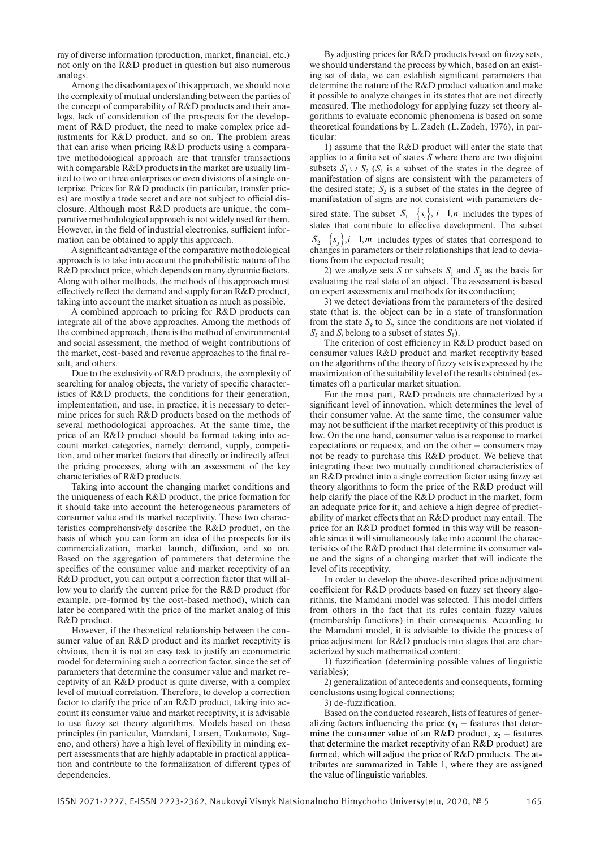ray of diverse information (production, market, financial, etc.) not only on the R&D product in question but also numerous analogs.

Among the disadvantages of this approach, we should note the complexity of mutual understanding between the parties of the concept of comparability of R&D products and their analogs, lack of consideration of the prospects for the development of R&D product, the need to make complex price adjustments for R&D product, and so on. The problem areas that can arise when pricing R&D products using a comparative methodological approach are that transfer transactions with comparable R&D products in the market are usually limited to two or three enterprises or even divisions of a single enterprise. Prices for R&D products (in particular, transfer prices) are mostly a trade secret and are not subject to official disclosure. Although most R&D products are unique, the comparative methodological approach is not widely used for them. However, in the field of industrial electronics, sufficient information can be obtained to apply this approach.

A significant advantage of the comparative methodological approach is to take into account the probabilistic nature of the R&D product price, which depends on many dynamic factors. Along with other methods, the methods of this approach most effectively reflect the demand and supply for an R&D product, taking into account the market situation as much as possible.

A combined approach to pricing for R&D products can integrate all of the above approaches. Among the methods of the combined approach, there is the method of environmental and social assessment, the method of weight contributions of the market, cost-based and revenue approaches to the final result, and others.

Due to the exclusivity of R&D products, the complexity of searching for analog objects, the variety of specific characteristics of R&D products, the conditions for their generation, implementation, and use, in practice, it is necessary to determine prices for such R&D products based on the methods of several methodological approaches. At the same time, the price of an R&D product should be formed taking into account market categories, namely: demand, supply, competition, and other market factors that directly or indirectly affect the pricing processes, along with an assessment of the key characteristics of R&D products.

Taking into account the changing market conditions and the uniqueness of each R&D product, the price formation for it should take into account the heterogeneous parameters of consumer value and its market receptivity. These two characteristics comprehensively describe the R&D product, on the basis of which you can form an idea of the prospects for its commercialization, market launch, diffusion, and so on. Based on the aggregation of parameters that determine the specifics of the consumer value and market receptivity of an R&D product, you can output a correction factor that will allow you to clarify the current price for the R&D product (for example, pre-formed by the cost-based method), which can later be compared with the price of the market analog of this R&D product.

However, if the theoretical relationship between the consumer value of an R&D product and its market receptivity is obvious, then it is not an easy task to justify an econometric model for determining such a correction factor, since the set of parameters that determine the consumer value and market receptivity of an R&D product is quite diverse, with a complex level of mutual correlation. Therefore, to develop a correction factor to clarify the price of an R&D product, taking into account its consumer value and market receptivity, it is advisable to use fuzzy set theory algorithms. Models based on these principles (in particular, Mamdani, Larsen, Tzukamoto, Sugeno, and others) have a high level of flexibility in minding expert assessments that are highly adaptable in practical application and contribute to the formalization of different types of dependencies.

By adjusting prices for R&D products based on fuzzy sets. we should understand the process by which, based on an existing set of data, we can establish significant parameters that determine the nature of the R&D product valuation and make it possible to analyze changes in its states that are not directly measured. The methodology for applying fuzzy set theory algorithms to evaluate economic phenomena is based on some theoretical foundations by L. Zadeh (L. Zadeh, 1976), in particular:

1) assume that the R&D product will enter the state that applies to a finite set of states *S* where there are two disjoint subsets  $S_1 \cup S_2$  ( $S_1$  is a subset of the states in the degree of manifestation of signs are consistent with the parameters of the desired state;  $S_2$  is a subset of the states in the degree of manifestation of signs are not consistent with parameters desired state. The subset  $S_1 = \{s_i\}, i = \overline{1,n}$  includes the types of states that contribute to effective development. The subset  $S_2 = \{s_j\}$ ,  $i = \overline{1,m}$  includes types of states that correspond to changes in parameters or their relationships that lead to deviations from the expected result;

2) we analyze sets *S* or subsets  $S_1$  and  $S_2$  as the basis for evaluating the real state of an object. The assessment is based on expert assessments and methods for its conduction;

3) we detect deviations from the parameters of the desired state (that is, the object can be in a state of transformation from the state  $S_k$  to  $S_l$ , since the conditions are not violated if  $S_k$  and  $S_l$  belong to a subset of states  $S_l$ ).

The criterion of cost efficiency in R&D product based on consumer values R&D product and market receptivity based on the algorithms of the theory of fuzzy sets is expressed by the maximization of the suitability level of the results obtained (estimates of) a particular market situation.

For the most part, R&D products are characterized by a significant level of innovation, which determines the level of their consumer value. At the same time, the consumer value may not be sufficient if the market receptivity of this product is low. On the one hand, consumer value is a response to market expectations or requests, and on the other – consumers may not be ready to purchase this R&D product. We believe that integrating these two mutually conditioned characteristics of an R&D product into a single correction factor using fuzzy set theory algorithms to form the price of the R&D product will help clarify the place of the R&D product in the market, form an adequate price for it, and achieve a high degree of predictability of market effects that an R&D product may entail. The price for an R&D product formed in this way will be reasonable since it will simultaneously take into account the characteristics of the R&D product that determine its consumer value and the signs of a changing market that will indicate the level of its receptivity.

In order to develop the above-described price adjustment coefficient for R&D products based on fuzzy set theory algorithms, the Mamdani model was selected. This model differs from others in the fact that its rules contain fuzzy values (membership functions) in their consequents. According to the Mamdani model, it is advisable to divide the process of price adjustment for R&D products into stages that are characterized by such mathematical content:

1) fuzzification (determining possible values of linguistic variables);

2) generalization of antecedents and consequents, forming conclusions using logical connections;

3) de-fuzzification.

Based on the conducted research, lists of features of generalizing factors influencing the price  $(x_1 -$  features that determine the consumer value of an  $R&D$  product,  $x_2$  – features that determine the market receptivity of an R&D product) are formed, which will adjust the price of R&D products. The attributes are summarized in Table 1, where they are assigned the value of linguistic variables.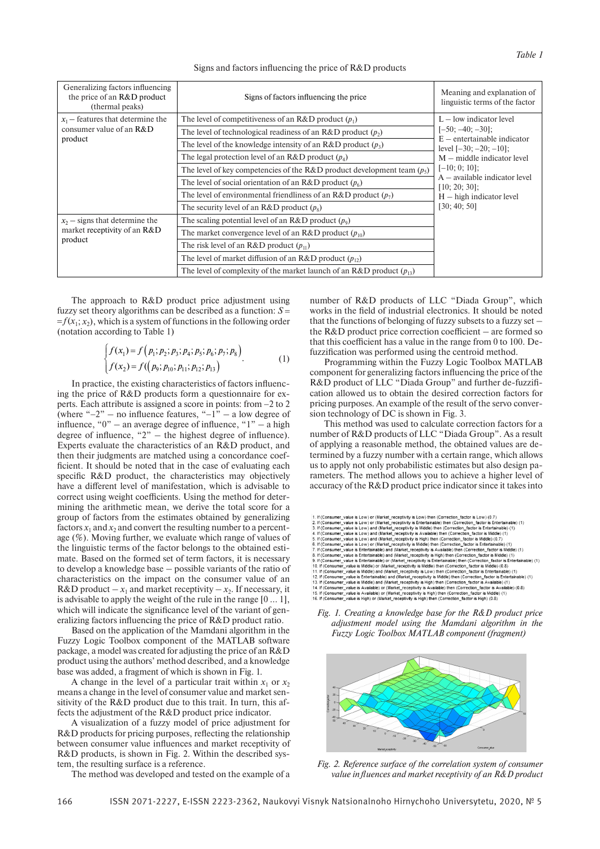| Generalizing factors influencing<br>the price of an R&D product<br>(thermal peaks) | Signs of factors influencing the price                                    | Meaning and explanation of<br>linguistic terms of the factor                                                     |  |  |  |  |
|------------------------------------------------------------------------------------|---------------------------------------------------------------------------|------------------------------------------------------------------------------------------------------------------|--|--|--|--|
| $x_1$ – features that determine the                                                | The level of competitiveness of an R&D product $(p_1)$                    | $L$ – low indicator level                                                                                        |  |  |  |  |
| consumer value of an R&D                                                           | The level of technological readiness of an R&D product $(p_2)$            | $[-50; -40; -30];$<br>$E$ – entertainable indicator<br>level $[-30; -20; -10]$ ;<br>$M$ – middle indicator level |  |  |  |  |
| product                                                                            | The level of the knowledge intensity of an R&D product $(p_3)$            |                                                                                                                  |  |  |  |  |
|                                                                                    | The legal protection level of an R&D product $(p_4)$                      |                                                                                                                  |  |  |  |  |
|                                                                                    | The level of key competencies of the R&D product development team $(p_5)$ | $[-10; 0; 10];$<br>$A$ – available indicator level<br>$[10; 20; 30]$ ;                                           |  |  |  |  |
|                                                                                    | The level of social orientation of an R&D product $(p_6)$                 |                                                                                                                  |  |  |  |  |
|                                                                                    | The level of environmental friendliness of an R&D product $(p_7)$         | $H$ – high indicator level                                                                                       |  |  |  |  |
|                                                                                    | The security level of an R&D product $(p_8)$                              | [30; 40; 50]                                                                                                     |  |  |  |  |
| $x_2$ – signs that determine the                                                   | The scaling potential level of an R&D product $(p_0)$                     |                                                                                                                  |  |  |  |  |
| market receptivity of an R&D                                                       | The market convergence level of an R&D product $(p_{10})$                 |                                                                                                                  |  |  |  |  |
| product                                                                            | The risk level of an R&D product $(p_{11})$                               |                                                                                                                  |  |  |  |  |
|                                                                                    | The level of market diffusion of an R&D product $(p_{12})$                |                                                                                                                  |  |  |  |  |
|                                                                                    | The level of complexity of the market launch of an R&D product $(p_{13})$ |                                                                                                                  |  |  |  |  |

Signs and factors influencing the price of R&D products

The approach to R&D product price adjustment using fuzzy set theory algorithms can be described as a function: *S* =  $=f(x_1; x_2)$ , which is a system of functions in the following order (notation according to Table 1)

$$
\begin{cases}\nf(x_1) = f(p_1; p_2; p_3; p_4; p_5; p_6; p_7; p_8) \\
f(x_2) = f((p_9; p_{10}; p_{11}; p_{12}; p_{13})\n\end{cases} \tag{1}
$$

In practice, the existing characteristics of factors influencing the price of R&D products form a questionnaire for experts. Each attribute is assigned a score in points: from -2 to 2 (where " $-2$ " – no influence features, " $-1$ " – a low degree of influence, " $0$ " – an average degree of influence, " $1$ " – a high degree of influence, "2" – the highest degree of influence). Experts evaluate the characteristics of an R&D product, and then their judgments are matched using a concordance coefficient. It should be noted that in the case of evaluating each specific R&D product, the characteristics may objectively have a different level of manifestation, which is advisable to correct using weight coefficients. Using the method for determining the arithmetic mean, we derive the total score for a group of factors from the estimates obtained by generalizing factors  $x_1$  and  $x_2$  and convert the resulting number to a percentage (%). Moving further, we evaluate which range of values of the linguistic terms of the factor belongs to the obtained estimate. Based on the formed set of term factors, it is necessary to develop a knowledge base – possible variants of the ratio of characteristics on the impact on the consumer value of an  $R&D$  product  $-x_1$  and market receptivity  $-x_2$ . If necessary, it is advisable to apply the weight of the rule in the range [0 ... 1], which will indicate the significance level of the variant of generalizing factors influencing the price of R&D product ratio.

Based on the application of the Mamdani algorithm in the Fuzzy Logic Toolbox component of the MATLAB software package, a model was created for adjusting the price of an R&D product using the authors' method described, and a knowledge base was added, a fragment of which is shown in Fig. 1.

A change in the level of a particular trait within  $x_1$  or  $x_2$ means a change in the level of consumer value and market sensitivity of the R&D product due to this trait. In turn, this affects the adjustment of the R&D product price indicator.

A visualization of a fuzzy model of price adjustment for R&D products for pricing purposes, reflecting the relationship between consumer value influences and market receptivity of R&D products, is shown in Fig. 2. Within the described system, the resulting surface is a reference.

The method was developed and tested on the example of a

number of R&D products of LLC "Diada Group", which works in the field of industrial electronics. It should be noted that the functions of belonging of fuzzy subsets to a fuzzy set  $$ the R&D product price correction coefficient – are formed so that this coefficient has a value in the range from 0 to 100. Defuzzification was performed using the centroid method.

Programming within the Fuzzy Logic Toolbox MATLAB component for generalizing factors influencing the price of the R&D product of LLC "Diada Group" and further de-fuzzification allowed us to obtain the desired correction factors for pricing purposes. An example of the result of the servo conversion technology of DC is shown in Fig. 3.

This method was used to calculate correction factors for a number of R&D products of LLC "Diada Group". As a result of applying a reasonable method, the obtained values are determined by a fuzzy number with a certain range, which allows us to apply not only probabilistic estimates but also design parameters. The method allows you to achieve a higher level of accuracy of the R&D product price indicator since it takes into

| 1. If (Consumer value is Low) or (Market receptivity is Low) then (Correction factor is Low) (0.7)                             |
|--------------------------------------------------------------------------------------------------------------------------------|
| [2.] If (Consumer value is Low) or (Market receptivity is Entertainable) then (Correction factor is Entertainable) (1)         |
| 3. If (Consumer value is Low) and (Market receptivity is Middle) then (Correction factor is Entertainable) (1)                 |
| 4. If (Consumer_value is Low) and (Market_receptivity is Available) then (Correction_factor is Middle) (1)                     |
| [5, If (Consumer value is Low) and (Market receptivity is High) then (Correction factor is Middle) (0.7)                       |
| 6. If (Consumer value is Low) or (Market receptivity is Middle) then (Correction factor is Entertainable) (1)                  |
| 7. If (Consumer value is Entertainable) and (Market receptivity is Available) then (Correction factor is Middle) (1)           |
| 8. If (Consumer value is Entertainable) and (Market receptivity is High) then (Correction factor is Middle) (1)                |
| 9. If (Consumer_value is Entertainable) or (Market_receptivity is Entertainable) then (Correction_factor is Entertainable) (1) |
| 10. If (Consumer value is Middle) or (Market receptivity is Middle) then (Correction factor is Middle) (0.8)                   |
| 11. If (Consumer value is Middle) and (Market receptivity is Low) then (Correction factor is Entertainable) (1)                |
| 12. If (Consumer value is Entertainable) and (Market receptivity is Middle) then (Correction factor is Entertainable) (1)      |
| 13. If (Consumer_value is Middle) and (Market_receptivity is High) then (Correction_factor is Available) (1)                   |
| 14. If (Consumer_value is Available) or (Market_receptivity is Available) then (Correction_factor is Available) (0.8)          |
| 15. If (Consumer value is Available) or (Market receptivity is High) then (Correction factor is Middle) (1)                    |
| 16. If (Consumer value is High) or (Market receptivity is High) then (Correction factor is High) (0.8)                         |
|                                                                                                                                |

*Fig. 1. Creating a knowledge base for the R&D product price adjustment model using the Mamdani algorithm in the Fuzzy Logic Toolbox MATLAB component (fragment)*



*Fig. 2. Reference surface of the correlation system of consumer value influences and market receptivity of an R&D product*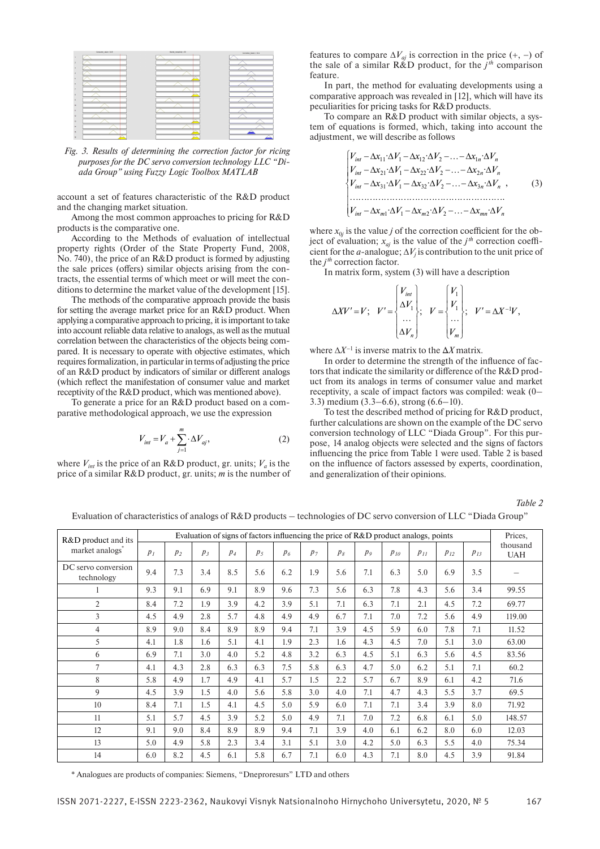

*Fig. 3. Results of determining the correction factor for ricing purposes for the DC servo conversion technology LLC "Diada Group" using Fuzzy Logic Toolbox MATLAB*

account a set of features characteristic of the R&D product and the changing market situation.

Among the most common approaches to pricing for R&D products is the comparative one.

According to the Methods of evaluation of intellectual property rights (Order of the State Property Fund, 2008, No. 740), the price of an R&D product is formed by adjusting the sale prices (offers) similar objects arising from the contracts, the essential terms of which meet or will meet the conditions to determine the market value of the development [15].

The methods of the comparative approach provide the basis for setting the average market price for an R&D product. When applying a comparative approach to pricing, it is important to take into account reliable data relative to analogs, as well as the mutual correlation between the characteristics of the objects being compared. It is necessary to operate with objective estimates, which requires formalization, in particular in terms of adjusting the price of an R&D product by indicators of similar or different analogs (which reflect the manifestation of consumer value and market receptivity of the R&D product, which was mentioned above).

To generate a price for an R&D product based on a comparative methodological approach, we use the expression

$$
V_{int} = V_a + \sum_{j=1}^{m} \Delta V_{aj},
$$
 (2)

where  $V_{int}$  is the price of an R&D product, gr. units;  $V_a$  is the price of a similar R&D product, gr. units; *m* is the number of

features to compare  $\Delta V_{ai}$  is correction in the price  $(+, -)$  of the sale of a similar  $R\&D$  product, for the  $j<sup>th</sup>$  comparison feature.

In part, the method for evaluating developments using a comparative approach was revealed in [12], which will have its peculiarities for pricing tasks for R&D products.

To compare an R&D product with similar objects, a system of equations is formed, which, taking into account the adjustment, we will describe as follows

$$
\begin{cases}\nV_{int} - \Delta x_{11} \Delta V_1 - \Delta x_{12} \Delta V_2 - \dots - \Delta x_{1n} \Delta V_n \\
V_{int} - \Delta x_{21} \Delta V_1 - \Delta x_{22} \Delta V_2 - \dots - \Delta x_{2n} \Delta V_n \\
V_{int} - \Delta x_{31} \Delta V_1 - \Delta x_{32} \Delta V_2 - \dots - \Delta x_{3n} \Delta V_n\n\end{cases} (3)
$$
\n
$$
\begin{cases}\nV_{int} - \Delta x_{m1} \Delta V_1 - \Delta x_{m2} \Delta V_2 - \dots - \Delta x_{mn} \Delta V_n\n\end{cases}
$$

where  $x_{0j}$  is the value *j* of the correction coefficient for the object of evaluation;  $x_a$  is the value of the  $j<sup>th</sup>$  correction coefficient for the *a*-analogue;  $\Delta V_j$  is contribution to the unit price of the  $j<sup>th</sup>$  correction factor.

In matrix form, system (3) will have a description

$$
\Delta XV'=V;\quad V'=\begin{Bmatrix} V_{int} \\ \Delta V_1 \\ \cdots \\ \Delta V_n \end{Bmatrix};\quad V=\begin{Bmatrix} V_1 \\ V_1 \\ \cdots \\ V_m \end{Bmatrix};\quad V'=\Delta X^{-1}V,
$$

where  $\Delta X^{-1}$  is inverse matrix to the  $\Delta X$  matrix.

In order to determine the strength of the influence of factors that indicate the similarity or difference of the R&D product from its analogs in terms of consumer value and market receptivity, a scale of impact factors was compiled: weak (0– 3.3) medium (3.3–6.6), strong (6.6–10).

To test the described method of pricing for R&D product, further calculations are shown on the example of the DC servo conversion technology of LLC "Diada Group". For this purpose, 14 analog objects were selected and the signs of factors influencing the price from Table 1 were used. Table 2 is based on the influence of factors assessed by experts, coordination, and generalization of their opinions.

*Table 2*

Evaluation of characteristics of analogs of R&D products – technologies of DC servo conversion of LLC "Diada Group"

| R&D product and its               | Evaluation of signs of factors influencing the price of R&D product analogs, points |                |       |       |       |         |       |                            |             |          | Prices,  |          |          |                        |
|-----------------------------------|-------------------------------------------------------------------------------------|----------------|-------|-------|-------|---------|-------|----------------------------|-------------|----------|----------|----------|----------|------------------------|
| market analogs <sup>*</sup>       | p <sub>I</sub>                                                                      | p <sub>2</sub> | $p_3$ | $p_4$ | $p_5$ | $p_{6}$ | $p_7$ | $p_{\scriptscriptstyle R}$ | $p_{\rm o}$ | $p_{10}$ | $p_{II}$ | $p_{12}$ | $p_{13}$ | thousand<br><b>UAH</b> |
| DC servo conversion<br>technology | 9.4                                                                                 | 7.3            | 3.4   | 8.5   | 5.6   | 6.2     | 1.9   | 5.6                        | 7.1         | 6.3      | 5.0      | 6.9      | 3.5      |                        |
| 1                                 | 9.3                                                                                 | 9.1            | 6.9   | 9.1   | 8.9   | 9.6     | 7.3   | 5.6                        | 6.3         | 7.8      | 4.3      | 5.6      | 3.4      | 99.55                  |
| $\overline{2}$                    | 8.4                                                                                 | 7.2            | 1.9   | 3.9   | 4.2   | 3.9     | 5.1   | 7.1                        | 6.3         | 7.1      | 2.1      | 4.5      | 7.2      | 69.77                  |
| 3                                 | 4.5                                                                                 | 4.9            | 2.8   | 5.7   | 4.8   | 4.9     | 4.9   | 6.7                        | 7.1         | 7.0      | 7.2      | 5.6      | 4.9      | 119.00                 |
| 4                                 | 8.9                                                                                 | 9.0            | 8.4   | 8.9   | 8.9   | 9.4     | 7.1   | 3.9                        | 4.5         | 5.9      | 6.0      | 7.8      | 7.1      | 11.52                  |
| 5                                 | 4.1                                                                                 | 1.8            | 1.6   | 5.1   | 4.1   | 1.9     | 2.3   | 1.6                        | 4.3         | 4.5      | 7.0      | 5.1      | 3.0      | 63.00                  |
| 6                                 | 6.9                                                                                 | 7.1            | 3.0   | 4.0   | 5.2   | 4.8     | 3.2   | 6.3                        | 4.5         | 5.1      | 6.3      | 5.6      | 4.5      | 83.56                  |
| 7                                 | 4.1                                                                                 | 4.3            | 2.8   | 6.3   | 6.3   | 7.5     | 5.8   | 6.3                        | 4.7         | 5.0      | 6.2      | 5.1      | 7.1      | 60.2                   |
| 8                                 | 5.8                                                                                 | 4.9            | 1.7   | 4.9   | 4.1   | 5.7     | 1.5   | 2.2                        | 5.7         | 6.7      | 8.9      | 6.1      | 4.2      | 71.6                   |
| 9                                 | 4.5                                                                                 | 3.9            | 1.5   | 4.0   | 5.6   | 5.8     | 3.0   | 4.0                        | 7.1         | 4.7      | 4.3      | 5.5      | 3.7      | 69.5                   |
| 10                                | 8.4                                                                                 | 7.1            | 1.5   | 4.1   | 4.5   | 5.0     | 5.9   | 6.0                        | 7.1         | 7.1      | 3.4      | 3.9      | 8.0      | 71.92                  |
| 11                                | 5.1                                                                                 | 5.7            | 4.5   | 3.9   | 5.2   | 5.0     | 4.9   | 7.1                        | 7.0         | 7.2      | 6.8      | 6.1      | 5.0      | 148.57                 |
| 12                                | 9.1                                                                                 | 9.0            | 8.4   | 8.9   | 8.9   | 9.4     | 7.1   | 3.9                        | 4.0         | 6.1      | 6.2      | 8.0      | 6.0      | 12.03                  |
| 13                                | 5.0                                                                                 | 4.9            | 5.8   | 2.3   | 3.4   | 3.1     | 5.1   | 3.0                        | 4.2         | 5.0      | 6.3      | 5.5      | 4.0      | 75.34                  |
| 14                                | 6.0                                                                                 | 8.2            | 4.5   | 6.1   | 5.8   | 6.7     | 7.1   | 6.0                        | 4.3         | 7.1      | 8.0      | 4.5      | 3.9      | 91.84                  |

\* Analogues are products of companies: Siemens, "Dneproresurs" LTD and others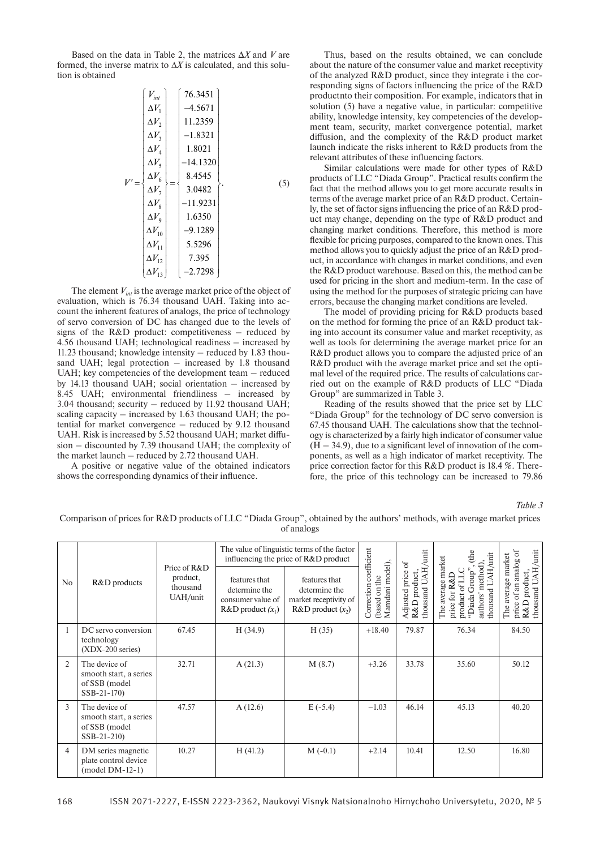Based on the data in Table 2, the matrices Δ*X* and *V* are formed, the inverse matrix to  $\Delta X$  is calculated, and this solution is obtained

| (5) |  |
|-----|--|
|     |  |
|     |  |
|     |  |
|     |  |
|     |  |

The element  $V_{in}$  is the average market price of the object of evaluation, which is 76.34 thousand UAH. Taking into account the inherent features of analogs, the price of technology of servo conversion of DC has changed due to the levels of signs of the R&D product: competitiveness – reduced by 4.56 thousand UAH; technological readiness – increased by 11.23 thousand; knowledge intensity – reduced by 1.83 thousand UAH; legal protection – increased by 1.8 thousand UAH; key competencies of the development team – reduced by 14.13 thousand UAH; social orientation – increased by 8.45 UAH; environmental friendliness – increased by 3.04 thousand; security – reduced by 11.92 thousand UAH; scaling capacity – increased by 1.63 thousand UAH; the potential for market convergence – reduced by 9.12 thousand UAH. Risk is increased by 5.52 thousand UAH; market diffusion – discounted by 7.39 thousand UAH; the complexity of the market launch – reduced by 2.72 thousand UAH.

A positive or negative value of the obtained indicators shows the corresponding dynamics of their influence.

Thus, based on the results obtained, we can conclude about the nature of the consumer value and market receptivity of the analyzed R&D product, since they integrate i the corresponding signs of factors influencing the price of the R&D productnto their composition. For example, indicators that in solution (5) have a negative value, in particular: competitive ability, knowledge intensity, key competencies of the development team, security, market convergence potential, market diffusion, and the complexity of the R&D product market launch indicate the risks inherent to R&D products from the relevant attributes of these influencing factors.

Similar calculations were made for other types of R&D products of LLC "Diada Group". Practical results confirm the fact that the method allows you to get more accurate results in terms of the average market price of an R&D product. Certainly, the set of factor signs influencing the price of an R&D product may change, depending on the type of R&D product and changing market conditions. Therefore, this method is more flexible for pricing purposes, compared to the known ones. This method allows you to quickly adjust the price of an R&D product, in accordance with changes in market conditions, and even the R&D product warehouse. Based on this, the method can be used for pricing in the short and medium-term. In the case of using the method for the purposes of strategic pricing can have errors, because the changing market conditions are leveled.

The model of providing pricing for R&D products based on the method for forming the price of an R&D product taking into account its consumer value and market receptivity, as well as tools for determining the average market price for an R&D product allows you to compare the adjusted price of an R&D product with the average market price and set the optimal level of the required price. The results of calculations carried out on the example of R&D products of LLC "Diada Group" are summarized in Table 3.

Reading of the results showed that the price set by LLC "Diada Group" for the technology of DC servo conversion is 67.45 thousand UAH. The calculations show that the technology is characterized by a fairly high indicator of consumer value  $(H - 34.9)$ , due to a significant level of innovation of the components, as well as a high indicator of market receptivity. The price correction factor for this R&D product is 18.4 %. Therefore, the price of this technology can be increased to 79.86

*Table 3*

Comparison of prices for R&D products of LLC "Diada Group", obtained by the authors' methods, with average market prices of analogs

|                | R&D products                                                              |                                                  |                                                                              | The value of linguistic terms of the factor<br>influencing the price of R&D product | coefficient                                    | /unit<br>5                                      | unit                                                                                                          | analog of<br>thousand UAH/unit<br>The average market<br>product,<br>of an:<br>R&D<br>price |
|----------------|---------------------------------------------------------------------------|--------------------------------------------------|------------------------------------------------------------------------------|-------------------------------------------------------------------------------------|------------------------------------------------|-------------------------------------------------|---------------------------------------------------------------------------------------------------------------|--------------------------------------------------------------------------------------------|
| No             |                                                                           | Price of R&D<br>product,<br>thousand<br>UAH/unit | features that<br>determine the<br>consumer value of<br>$R&D$ product $(x_1)$ | features that<br>determine the<br>market receptivity of<br>$R&D$ product $(x_2)$    | Mamdani model).<br>(based on the<br>Correction | thousand UAH,<br>R&D product,<br>Adjusted price | The average market<br>authors' method)<br>Group"<br>thousand UAH,<br>price for R&D<br>product of LL<br>"Diada |                                                                                            |
| -1             | DC servo conversion<br>technology<br>$(XDX-200$ series)                   | 67.45                                            | H(34.9)                                                                      | H(35)                                                                               | $+18.40$                                       | 79.87                                           | 76.34                                                                                                         | 84.50                                                                                      |
| $\overline{2}$ | The device of<br>smooth start, a series<br>of SSB (model)<br>$SSB-21-170$ | 32.71                                            | A(21.3)                                                                      | M(8.7)                                                                              | $+3.26$                                        | 33.78                                           | 35.60                                                                                                         | 50.12                                                                                      |
| 3              | The device of<br>smooth start, a series<br>of SSB (model<br>$SSB-21-210$  | 47.57                                            | A(12.6)                                                                      | $E(-5.4)$                                                                           | $-1.03$                                        | 46.14                                           | 45.13                                                                                                         | 40.20                                                                                      |
| 4              | DM series magnetic<br>plate control device<br>$(modl DM-12-1)$            | 10.27                                            | H(41.2)                                                                      | $M (-0.1)$                                                                          | $+2.14$                                        | 10.41                                           | 12.50                                                                                                         | 16.80                                                                                      |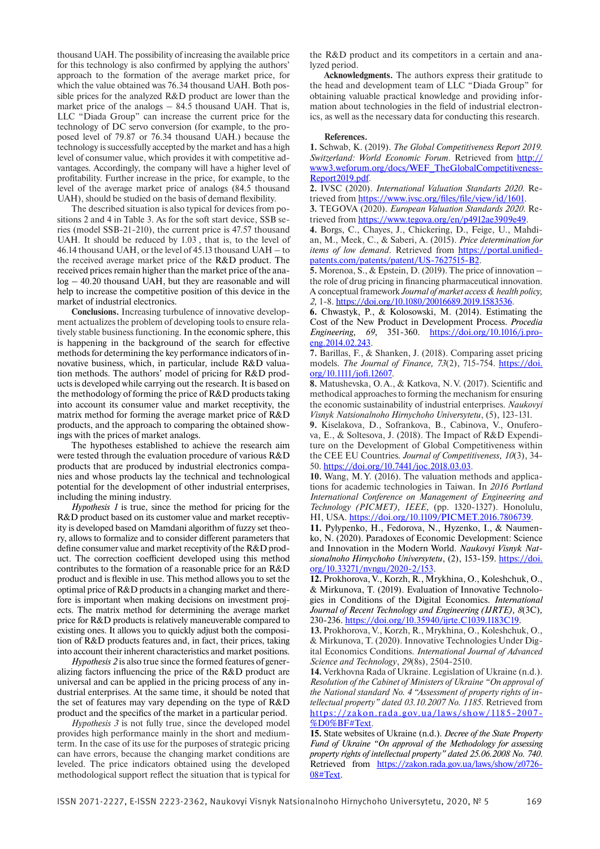thousand UAH. The possibility of increasing the available price for this technology is also confirmed by applying the authors' approach to the formation of the average market price, for which the value obtained was 76.34 thousand UAH. Both possible prices for the analyzed R&D product are lower than the market price of the analogs – 84.5 thousand UAH. That is, LLC "Diada Group" can increase the current price for the technology of DC servo conversion (for example, to the proposed level of 79.87 or 76.34 thousand UAH.) because the technology is successfully accepted by the market and has a high level of consumer value, which provides it with competitive advantages. Accordingly, the company will have a higher level of profitability. Further increase in the price, for example, to the level of the average market price of analogs (84.5 thousand UAH), should be studied on the basis of demand flexibility.

The described situation is also typical for devices from positions 2 and 4 in Table 3. As for the soft start device, SSB series (model SSB-21-210), the current price is 47.57 thousand UAH. It should be reduced by 1.03 , that is, to the level of 46.14 thousand UAH, or the level of 45.13 thousand UAH – to the received average market price of the R&D product. The received prices remain higher than the market price of the analog – 40.20 thousand UAH, but they are reasonable and will help to increase the competitive position of this device in the market of industrial electronics.

**conclusions.** Increasing turbulence of innovative development actualizes the problem of developing tools to ensure relatively stable business functioning. In the economic sphere, this is happening in the background of the search for effective methods for determining the key performance indicators of innovative business, which, in particular, include R&D valuation methods. The authors' model of pricing for R&D products is developed while carrying out the research. It is based on the methodology of forming the price of R&D products taking into account its consumer value and market receptivity, the matrix method for forming the average market price of R&D products, and the approach to comparing the obtained showings with the prices of market analogs.

The hypotheses established to achieve the research aim were tested through the evaluation procedure of various R&D products that are produced by industrial electronics companies and whose products lay the technical and technological potential for the development of other industrial enterprises, including the mining industry.

*Hypothesis 1* is true, since the method for pricing for the R&D product based on its customer value and market receptivity is developed based on Mamdani algorithm of fuzzy set theory, allows to formalize and to consider different parameters that define consumer value and market receptivity of the R&D product. The correction coefficient developed using this method contributes to the formation of a reasonable price for an R&D product and is flexible in use. This method allows you to set the optimal price of R&D products in a changing market and therefore is important when making decisions on investment projects. The matrix method for determining the average market price for R&D products is relatively maneuverable compared to existing ones. It allows you to quickly adjust both the composition of R&D products features and, in fact, their prices, taking into account their inherent characteristics and market positions.

*Hypothesis 2* is also true since the formed features of generalizing factors influencing the price of the R&D product are universal and can be applied in the pricing process of any industrial enterprises. At the same time, it should be noted that the set of features may vary depending on the type of R&D product and the specifics of the market in a particular period.

*Hypothesis 3* is not fully true, since the developed model provides high performance mainly in the short and mediumterm. In the case of its use for the purposes of strategic pricing can have errors, because the changing market conditions are leveled. The price indicators obtained using the developed methodological support reflect the situation that is typical for the R&D product and its competitors in a certain and analyzed period.

**Acknowledgments.** The authors express their gratitude to the head and development team of LLC "Diada Group" for obtaining valuable practical knowledge and providing information about technologies in the field of industrial electronics, as well as the necessary data for conducting this research.

#### **references.**

**1.** Schwab, K. (2019). *The Global Competitiveness Report 2019. Switzerland: World Economic Forum*. Retrieved from http:// www3.weforum.org/docs/WEF\_TheGlobalCompetitiveness-Report2019.pdf.

**2.** IVSC (2020). *International Valuation Standarts 2020*. Retrieved from https://www.ivsc.org/files/file/view/id/1601.

**3.** TEGOVA (2020). *European Valuation Standards 2020*. Retrieved from https://www.tegova.org/en/p4912ae3909e49.

**4.** Borgs, C., Chayes, J., Chickering, D., Feige, U., Mahdian, M., Meek, C., & Saberi, A. (2015). *Price determination for items of low demand*. Retrieved from https://portal.unifiedpatents.com/patents/patent/US-7627515-B2.

**5.** Morenoa, S., & Epstein, D. (2019). The price of innovation – the role of drug pricing in financing pharmaceutical innovation. A conceptual framework *Journal of market access & health policy,*  2, 1-8. https://doi.org/10.1080/20016689.2019.1583536.

**6.** Chwastyk, P., & Kolosowski, M. (2014). Estimating the Cost of the New Product in Development Process. *Procedia Engineering, 69, 351-360.* https://doi.org/10.1016/j.proeng.2014.02.243

**7.** Barillas, F., & Shanken, J. (2018). Comparing asset pricing models. *The Journal of Finance*, 73(2), 715-754. https://doi. org/10.1111/jofi.12607.

**8.** Matushevska, O. A., & Katkova, N. V. (2017). Scientific and methodical approaches to forming the mechanism for ensuring the economic sustainability of industrial enterprises. *Naukovyi Visnyk Natsionalnoho Hirnychoho Universytetu*, (5), 123-131.

**9.** Kiselakova, D., Sofrankova, B., Cabinova, V., Onuferova, E., & Soltesova, J. (2018). The Impact of R&D Expenditure on the Development of Global Competitiveness within the CEE EU Countries*. Journal of Competitiveness, 10*(3), 34 50. https://doi.org/10.7441/joc.2018.03.03.

**10.** Wang, M. Y. (2016). The valuation methods and applications for academic technologies in Taiwan. In *2016 Portland International Conference on Management of Engineering and Technology (PICMET), IEEE*, (pp. 1320-1327). Honolulu, HI, USA. https://doi.org/10.1109/PICMET.2016.7806739.

**11.** Pylypenko, H., Fedorova, N., Hyzenko, I., & Naumenko, N. (2020). Paradoxes of Economic Development: Science and Innovation in the Modern World. *Naukovyi Visnyk Nat*sionalnoho Hirnychoho Universytetu, (2), 153-159. https://doi. org/10.33271/nvngu/2020-2/153.

**12.** Prokhorova, V., Korzh, R., Mrykhina, O., Koleshchuk, O., & Mirkunova, T. (2019). Evaluation of Innovative Technologies in Conditions of the Digital Economics. *International Journal of Recent Technology and Engineering (IJRTE), 8*(3C)*,*  230-236. https://doi.org/10.35940/ijrte.C1039.1183C19.

**13.** Prokhorova, V., Korzh, R., Mrykhina, O., Koleshchuk, O., & Mirkunova, T. (2020). Innovative Technologies Under Digital Economics Conditions. *International Journal of Advanced Science and Technology*, 29(8s), 2504-2510.

**14.** Verkhovna Rada of Ukraine. Legislation of Ukraine (n.d.). *Resolution of the Cabinet of Ministers of Ukraine "On approval of the National standard No. 4 "Assessment of property rights of intellectual property" dated 03.10.2007 No. 1185*. Retrieved from https://zakon.rada.gov.ua/laws/show/1185-2007-%D0%BF#Text.

**15.** State websites of Ukraine (n.d.). *Decree of the State Property Fund of Ukraine "On approval of the Methodology for assessing property rights of intellectual property" dated 25.06.2008 No. 740*. Retrieved from https://zakon.rada.gov.ua/laws/show/z0726 08#Text.